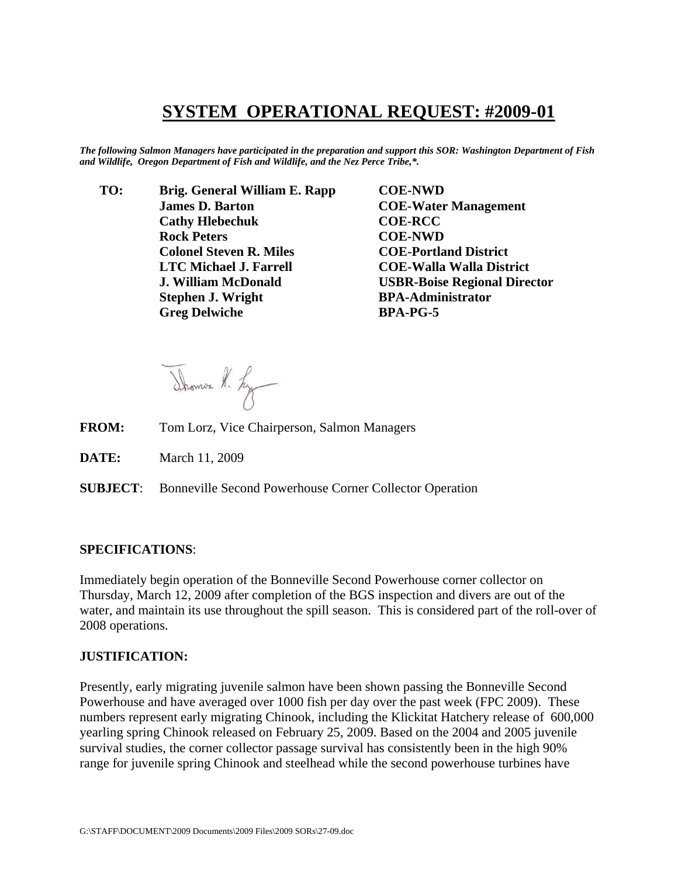## **SYSTEM OPERATIONAL REQUEST: #2009-01**

*The following Salmon Managers have participated in the preparation and support this SOR: Washington Department of Fish and Wildlife, Oregon Department of Fish and Wildlife, and the Nez Perce Tribe,\*.* 

 **TO: Brig. General William E. Rapp COE-NWD James D. Barton COE-Water Management Cathy Hlebechuk COE-RCC Rock Peters COE-NWD Colonel Steven R. Miles COE-Portland District LTC Michael J. Farrell COE-Walla Walla District J. William McDonald USBR-Boise Regional Director Stephen J. Wright BPA-Administrator Greg Delwiche BPA-PG-5** 

Shower K. Ly

- **FROM:** Tom Lorz, Vice Chairperson, Salmon Managers
- **DATE:** March 11, 2009

**SUBJECT**: Bonneville Second Powerhouse Corner Collector Operation

## **SPECIFICATIONS**:

Immediately begin operation of the Bonneville Second Powerhouse corner collector on Thursday, March 12, 2009 after completion of the BGS inspection and divers are out of the water, and maintain its use throughout the spill season. This is considered part of the roll-over of 2008 operations.

## **JUSTIFICATION:**

Presently, early migrating juvenile salmon have been shown passing the Bonneville Second Powerhouse and have averaged over 1000 fish per day over the past week (FPC 2009). These numbers represent early migrating Chinook, including the Klickitat Hatchery release of 600,000 yearling spring Chinook released on February 25, 2009. Based on the 2004 and 2005 juvenile survival studies, the corner collector passage survival has consistently been in the high 90% range for juvenile spring Chinook and steelhead while the second powerhouse turbines have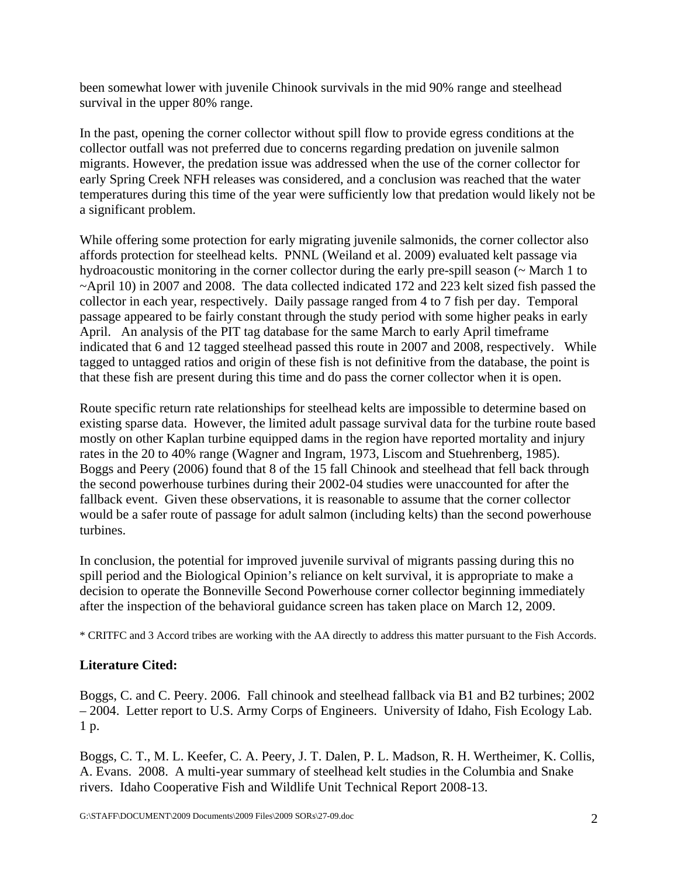been somewhat lower with juvenile Chinook survivals in the mid 90% range and steelhead survival in the upper 80% range.

In the past, opening the corner collector without spill flow to provide egress conditions at the collector outfall was not preferred due to concerns regarding predation on juvenile salmon migrants. However, the predation issue was addressed when the use of the corner collector for early Spring Creek NFH releases was considered, and a conclusion was reached that the water temperatures during this time of the year were sufficiently low that predation would likely not be a significant problem.

While offering some protection for early migrating juvenile salmonids, the corner collector also affords protection for steelhead kelts. PNNL (Weiland et al. 2009) evaluated kelt passage via hydroacoustic monitoring in the corner collector during the early pre-spill season (~ March 1 to ~April 10) in 2007 and 2008. The data collected indicated 172 and 223 kelt sized fish passed the collector in each year, respectively. Daily passage ranged from 4 to 7 fish per day. Temporal passage appeared to be fairly constant through the study period with some higher peaks in early April. An analysis of the PIT tag database for the same March to early April timeframe indicated that 6 and 12 tagged steelhead passed this route in 2007 and 2008, respectively. While tagged to untagged ratios and origin of these fish is not definitive from the database, the point is that these fish are present during this time and do pass the corner collector when it is open.

Route specific return rate relationships for steelhead kelts are impossible to determine based on existing sparse data. However, the limited adult passage survival data for the turbine route based mostly on other Kaplan turbine equipped dams in the region have reported mortality and injury rates in the 20 to 40% range (Wagner and Ingram, 1973, Liscom and Stuehrenberg, 1985). Boggs and Peery (2006) found that 8 of the 15 fall Chinook and steelhead that fell back through the second powerhouse turbines during their 2002-04 studies were unaccounted for after the fallback event. Given these observations, it is reasonable to assume that the corner collector would be a safer route of passage for adult salmon (including kelts) than the second powerhouse turbines.

In conclusion, the potential for improved juvenile survival of migrants passing during this no spill period and the Biological Opinion's reliance on kelt survival, it is appropriate to make a decision to operate the Bonneville Second Powerhouse corner collector beginning immediately after the inspection of the behavioral guidance screen has taken place on March 12, 2009.

\* CRITFC and 3 Accord tribes are working with the AA directly to address this matter pursuant to the Fish Accords.

## **Literature Cited:**

Boggs, C. and C. Peery. 2006. Fall chinook and steelhead fallback via B1 and B2 turbines; 2002 – 2004. Letter report to U.S. Army Corps of Engineers. University of Idaho, Fish Ecology Lab. 1 p.

Boggs, C. T., M. L. Keefer, C. A. Peery, J. T. Dalen, P. L. Madson, R. H. Wertheimer, K. Collis, A. Evans. 2008. A multi-year summary of steelhead kelt studies in the Columbia and Snake rivers. Idaho Cooperative Fish and Wildlife Unit Technical Report 2008-13.